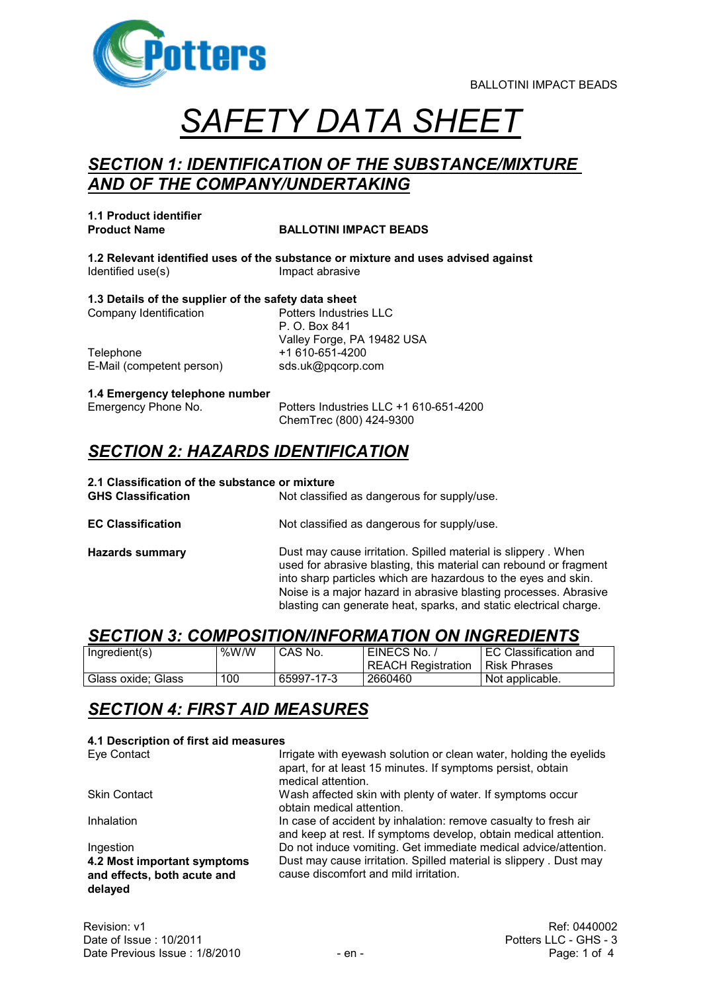

# *SAFETY DATA SHEET*

#### *SECTION 1: IDENTIFICATION OF THE SUBSTANCE/MIXTURE AND OF THE COMPANY/UNDERTAKING*

**1.1 Product identifier**

#### **Product Name BALLOTINI IMPACT BEADS**

**1.2 Relevant identified uses of the substance or mixture and uses advised against** Identified use(s) **Impact abrasive** 

**1.3 Details of the supplier of the safety data sheet** Company Identification **Potters Industries LLC** 

Telephone +1 610-651-4200 E-Mail (competent person) sds.uk@pqcorp.com

P. O. Box 841 Valley Forge, PA 19482 USA

# **1.4 Emergency telephone number**

Potters Industries LLC +1 610-651-4200 ChemTrec (800) 424-9300

#### *SECTION 2: HAZARDS IDENTIFICATION*

## **2.1 Classification of the substance or mixture**

Not classified as dangerous for supply/use. **EC Classification** Not classified as dangerous for supply/use. **Hazards summary Dust may cause irritation. Spilled material is slippery . When** 

used for abrasive blasting, this material can rebound or fragment into sharp particles which are hazardous to the eyes and skin. Noise is a major hazard in abrasive blasting processes. Abrasive blasting can generate heat, sparks, and static electrical charge.

#### *SECTION 3: COMPOSITION/INFORMATION ON INGREDIENTS*

| Ingradient(s)      | %W/W | CAS No.    | EINECS No.<br>REACH Registration | EC Classification and<br><b>Risk Phrases</b> |
|--------------------|------|------------|----------------------------------|----------------------------------------------|
| Glass oxide: Glass | 100  | 65997-17-3 | 2660460                          | Not applicable.                              |

### *SECTION 4: FIRST AID MEASURES*

#### **4.1 Description of first aid measures**

| Eye Contact                                                           | Irrigate with eyewash solution or clean water, holding the eyelids<br>apart, for at least 15 minutes. If symptoms persist, obtain<br>medical attention. |
|-----------------------------------------------------------------------|---------------------------------------------------------------------------------------------------------------------------------------------------------|
| <b>Skin Contact</b>                                                   | Wash affected skin with plenty of water. If symptoms occur<br>obtain medical attention.                                                                 |
| Inhalation                                                            | In case of accident by inhalation: remove casualty to fresh air<br>and keep at rest. If symptoms develop, obtain medical attention.                     |
| Ingestion                                                             | Do not induce vomiting. Get immediate medical advice/attention.                                                                                         |
| 4.2 Most important symptoms<br>and effects, both acute and<br>delayed | Dust may cause irritation. Spilled material is slippery. Dust may<br>cause discomfort and mild irritation.                                              |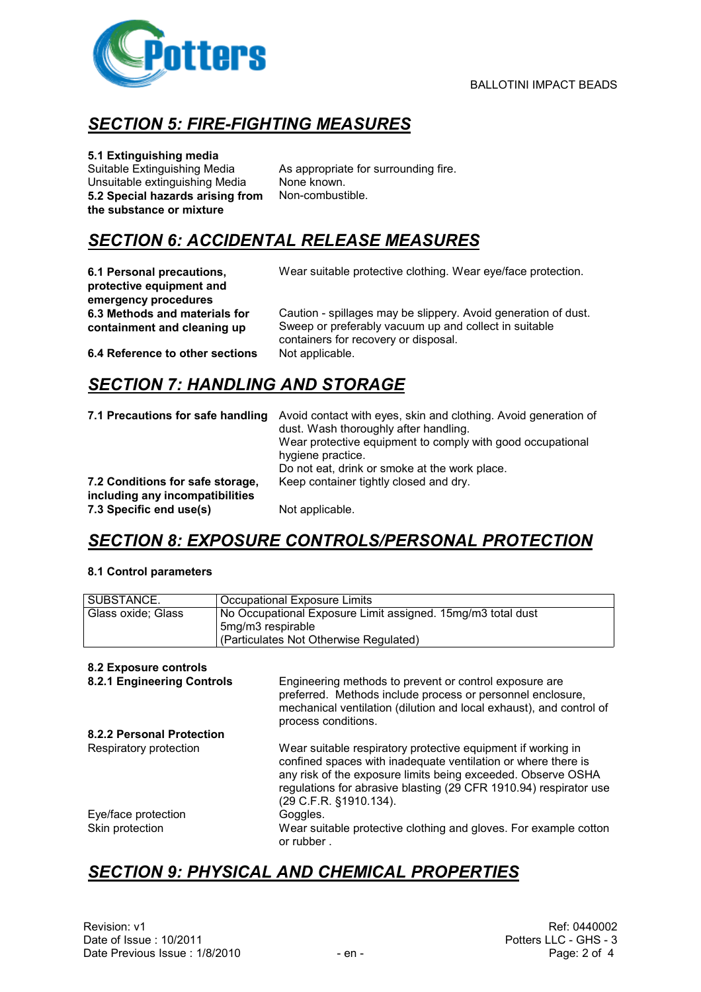

### *SECTION 5: FIRE-FIGHTING MEASURES*

#### **5.1 Extinguishing media**

Suitable Extinguishing Media As appropriate for surrounding fire. Unsuitable extinguishing Media None known. **5.2 Special hazards arising from the substance or mixture**

Non-combustible.

### *SECTION 6: ACCIDENTAL RELEASE MEASURES*

**6.1 Personal precautions, protective equipment and emergency procedures 6.3 Methods and materials for containment and cleaning up**

Wear suitable protective clothing. Wear eye/face protection.

Caution - spillages may be slippery. Avoid generation of dust. Sweep or preferably vacuum up and collect in suitable containers for recovery or disposal.<br>Not applicable.

**6.4 Reference to other sections** 

### *SECTION 7: HANDLING AND STORAGE*

| 7.1 Precautions for safe handling                                   | Avoid contact with eyes, skin and clothing. Avoid generation of<br>dust. Wash thoroughly after handling.<br>Wear protective equipment to comply with good occupational<br>hygiene practice.<br>Do not eat, drink or smoke at the work place. |
|---------------------------------------------------------------------|----------------------------------------------------------------------------------------------------------------------------------------------------------------------------------------------------------------------------------------------|
| 7.2 Conditions for safe storage,<br>including any incompatibilities | Keep container tightly closed and dry.                                                                                                                                                                                                       |
| 7.3 Specific end use(s)                                             | Not applicable.                                                                                                                                                                                                                              |

### *SECTION 8: EXPOSURE CONTROLS/PERSONAL PROTECTION*

#### **8.1 Control parameters**

| SUBSTANCE.                             | <b>Occupational Exposure Limits</b>                                                                                                                                                                                                                                                          |  |  |
|----------------------------------------|----------------------------------------------------------------------------------------------------------------------------------------------------------------------------------------------------------------------------------------------------------------------------------------------|--|--|
|                                        |                                                                                                                                                                                                                                                                                              |  |  |
| Glass oxide; Glass                     | No Occupational Exposure Limit assigned. 15mg/m3 total dust                                                                                                                                                                                                                                  |  |  |
|                                        | 5mg/m3 respirable                                                                                                                                                                                                                                                                            |  |  |
|                                        | (Particulates Not Otherwise Regulated)                                                                                                                                                                                                                                                       |  |  |
|                                        |                                                                                                                                                                                                                                                                                              |  |  |
|                                        |                                                                                                                                                                                                                                                                                              |  |  |
| 8.2 Exposure controls                  |                                                                                                                                                                                                                                                                                              |  |  |
| 8.2.1 Engineering Controls             | Engineering methods to prevent or control exposure are<br>preferred. Methods include process or personnel enclosure,<br>mechanical ventilation (dilution and local exhaust), and control of<br>process conditions.                                                                           |  |  |
| 8.2.2 Personal Protection              |                                                                                                                                                                                                                                                                                              |  |  |
| Respiratory protection                 | Wear suitable respiratory protective equipment if working in<br>confined spaces with inadequate ventilation or where there is<br>any risk of the exposure limits being exceeded. Observe OSHA<br>regulations for abrasive blasting (29 CFR 1910.94) respirator use<br>(29 C.F.R. §1910.134). |  |  |
| Eye/face protection<br>Skin protection | Goggles.<br>Wear suitable protective clothing and gloves. For example cotton<br>or rubber.                                                                                                                                                                                                   |  |  |

### *SECTION 9: PHYSICAL AND CHEMICAL PROPERTIES*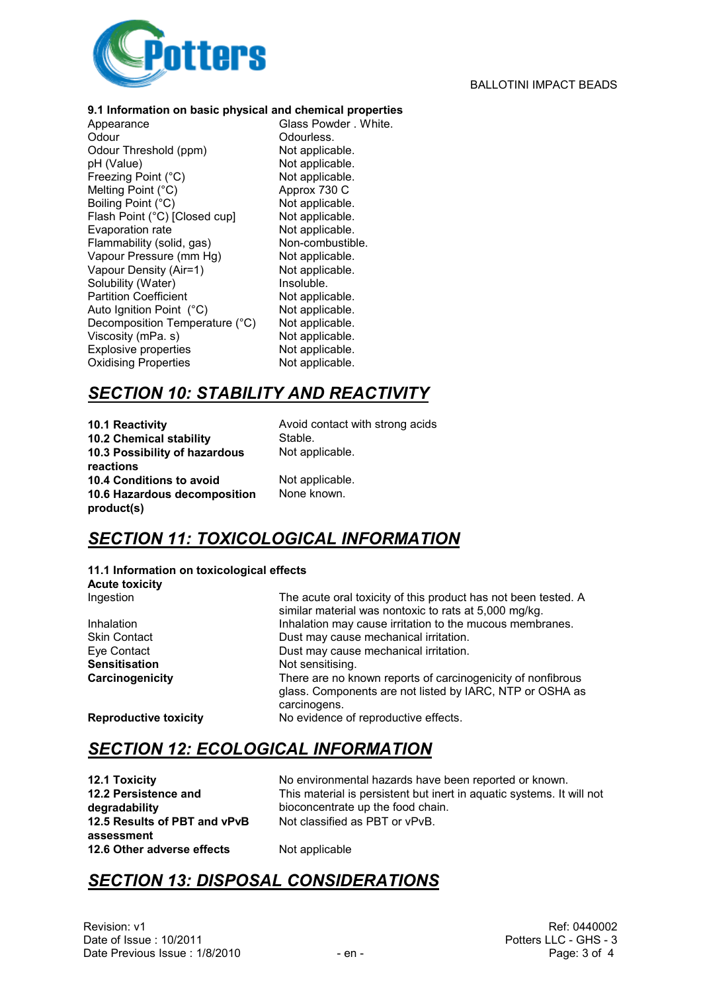

#### **9.1 Information on basic physical and chemical properties**

Appearance Glass Powder . White.<br>
Odour<br>
Odourless. Odour Threshold (ppm) pH (Value) Not applicable.<br>Freezing Point (°C) Not applicable. Freezing Point  $(^{\circ}C)$ Melting Point (°C) Approx 730 C<br>Boiling Point (°C) Mot applicable. Boiling Point (°C) Not applicable.<br>Flash Point (°C) [Closed cup] Not applicable. Flash Point (°C) [Closed cup] Not applicable.<br>
Evaporation rate Not applicable. Evaporation rate **Not applicable.**<br>
Flammability (solid. gas) Non-combustible. Flammability (solid, gas) Vapour Pressure (mm Hg) Not applicable. Vapour Density (Air=1) Not applicable. Solubility (Water) **Insoluble.** Partition Coefficient Not applicable. Auto Ignition Point (°C) Not applicable.<br>Decomposition Temperature (°C) Not applicable. Decomposition Temperature (°C) Not applicable.<br>Viscosity (mPa. s) Not applicable. Viscosity (mPa. s) Not applicable.<br>Explosive properties Not applicable. Explosive properties Not applicable.<br>
Oxidising Properties Not applicable. Oxidising Properties

Odourless.<br>Not applicable.

#### *SECTION 10: STABILITY AND REACTIVITY*

**10.1 Reactivity 10.1 Reactivity Avoid contact with strong acids 10.2 Chemical stability** Stable. **10.3 Possibility of hazardous reactions 10.4 Conditions to avoid** Not applicable. **10.6 Hazardous decomposition product(s)**

Not applicable.

None known.

### *SECTION 11: TOXICOLOGICAL INFORMATION*

**11.1 Information on toxicological effects Acute toxicity** Ingestion The acute oral toxicity of this product has not been tested. A

**Sensitisation** Not sensitising.

similar material was nontoxic to rats at 5,000 mg/kg. Inhalation Inhalation may cause irritation to the mucous membranes. Skin Contact **Dust may cause mechanical irritation.**<br>
Eye Contact **Dust may cause mechanical irritation**. Dust may cause mechanical irritation. **Carcinogenicity** There are no known reports of carcinogenicity of nonfibrous glass. Components are not listed by IARC, NTP or OSHA as carcinogens. **Reproductive toxicity** No evidence of reproductive effects.

### *SECTION 12: ECOLOGICAL INFORMATION*

**12.2 Persistence and degradability 12.5 Results of PBT and vPvB assessment 12.6 Other adverse effects** Not applicable

**12.1 Toxicity** No environmental hazards have been reported or known. This material is persistent but inert in aquatic systems. It will not bioconcentrate up the food chain. Not classified as PBT or vPvB.

### *SECTION 13: DISPOSAL CONSIDERATIONS*